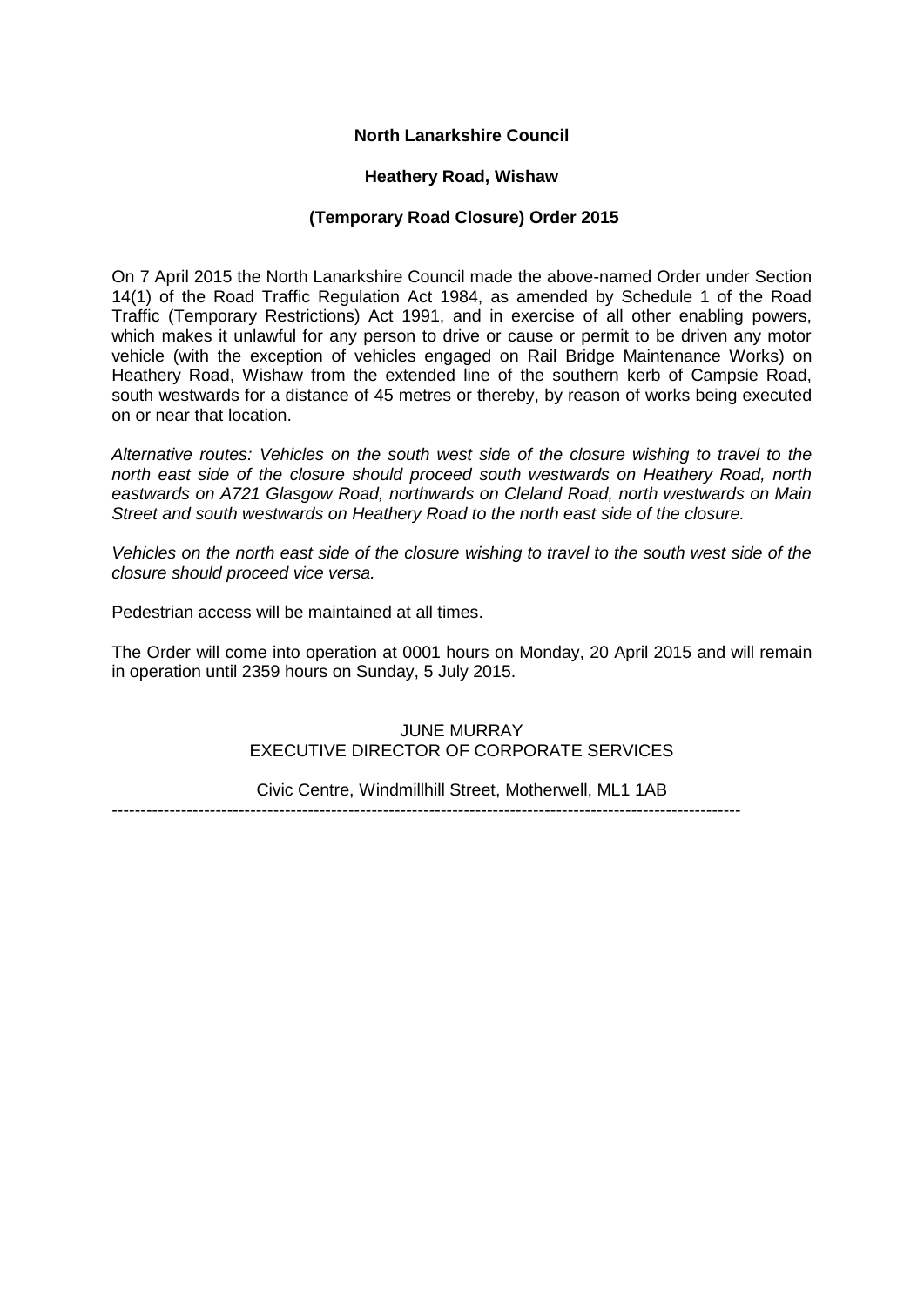# **North Lanarkshire Council**

## **Heathery Road, Wishaw**

## **(Temporary Road Closure) Order 2015**

On 7 April 2015 the North Lanarkshire Council made the above-named Order under Section 14(1) of the Road Traffic Regulation Act 1984, as amended by Schedule 1 of the Road Traffic (Temporary Restrictions) Act 1991, and in exercise of all other enabling powers, which makes it unlawful for any person to drive or cause or permit to be driven any motor vehicle (with the exception of vehicles engaged on Rail Bridge Maintenance Works) on Heathery Road, Wishaw from the extended line of the southern kerb of Campsie Road, south westwards for a distance of 45 metres or thereby, by reason of works being executed on or near that location.

*Alternative routes: Vehicles on the south west side of the closure wishing to travel to the north east side of the closure should proceed south westwards on Heathery Road, north eastwards on A721 Glasgow Road, northwards on Cleland Road, north westwards on Main Street and south westwards on Heathery Road to the north east side of the closure.*

*Vehicles on the north east side of the closure wishing to travel to the south west side of the closure should proceed vice versa.* 

Pedestrian access will be maintained at all times.

The Order will come into operation at 0001 hours on Monday, 20 April 2015 and will remain in operation until 2359 hours on Sunday, 5 July 2015.

# JUNE MURRAY EXECUTIVE DIRECTOR OF CORPORATE SERVICES

Civic Centre, Windmillhill Street, Motherwell, ML1 1AB

-------------------------------------------------------------------------------------------------------------